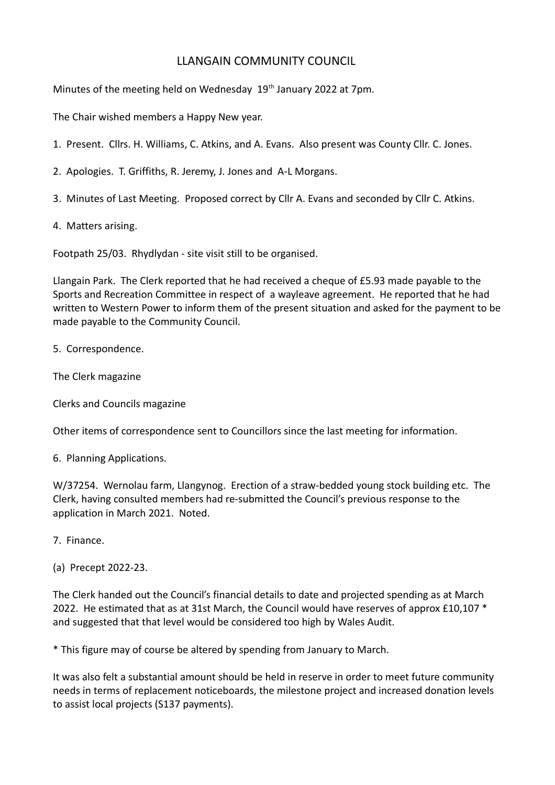## LLANGAIN COMMUNITY COUNCIL

Minutes of the meeting held on Wednesday  $19<sup>th</sup>$  January 2022 at 7pm.

The Chair wished members a Happy New year.

- 1. Present. Cllrs. H. Williams, C. Atkins, and A. Evans. Also present was County Cllr. C. Jones.
- 2. Apologies. T. Griffiths, R. Jeremy, J. Jones and A-L Morgans.
- 3. Minutes of Last Meeting. Proposed correct by Cllr A. Evans and seconded by Cllr C. Atkins.
- 4. Matters arising.

Footpath 25/03. Rhydlydan - site visit still to be organised.

Llangain Park. The Clerk reported that he had received a cheque of £5.93 made payable to the Sports and Recreation Committee in respect of a wayleave agreement. He reported that he had written to Western Power to inform them of the present situation and asked for the payment to be made payable to the Community Council.

5. Correspondence.

The Clerk magazine

Clerks and Councils magazine

Other items of correspondence sent to Councillors since the last meeting for information.

6. Planning Applications.

W/37254. Wernolau farm, Llangynog. Erection of a straw-bedded young stock building etc. The Clerk, having consulted members had re-submitted the Council's previous response to the application in March 2021. Noted.

- 7. Finance.
- (a) Precept 2022-23.

The Clerk handed out the Council's financial details to date and projected spending as at March 2022. He estimated that as at 31st March, the Council would have reserves of approx  $£10,107$   $*$ and suggested that that level would be considered too high by Wales Audit.

\* This figure may of course be altered by spending from January to March.

It was also felt a substantial amount should be held in reserve in order to meet future community needs in terms of replacement noticeboards, the milestone project and increased donation levels to assist local projects (S137 payments).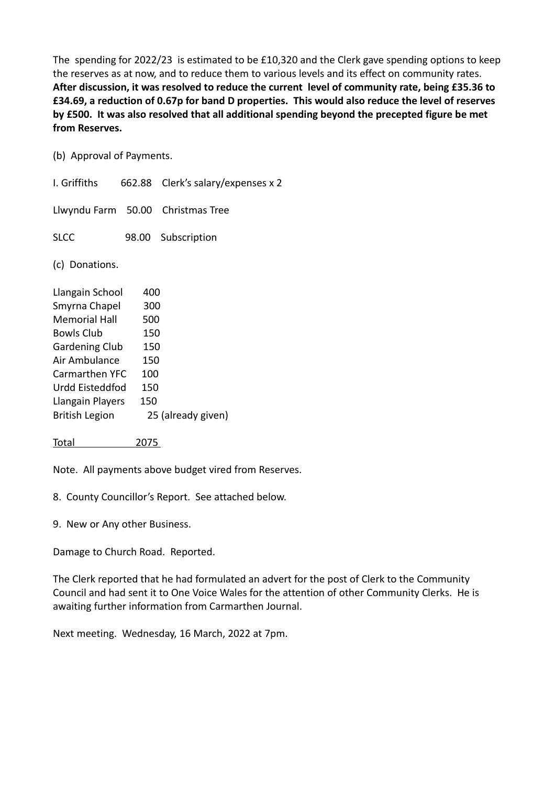The spending for 2022/23 is estimated to be £10,320 and the Clerk gave spending options to keep the reserves as at now, and to reduce them to various levels and its effect on community rates. **After discussion, it was resolved to reduce the current level of community rate, being £35.36 to £34.69, a reduction of 0.67p for band D properties. This would also reduce the level of reserves by £500. It was also resolved that all additional spending beyond the precepted figure be met from Reserves.** 

(b) Approval of Payments.

I. Griffiths 662.88 Clerk's salary/expenses x 2 Llwyndu Farm 50.00 Christmas Tree SLCC 98.00 Subscription (c) Donations. Llangain School 400 Smyrna Chapel 300 Memorial Hall 500 Bowls Club 150 Gardening Club 150 Air Ambulance 150 Carmarthen YFC 100 Urdd Eisteddfod 150 Llangain Players 150 British Legion 25 (already given)

Note. All payments above budget vired from Reserves.

8. County Councillor's Report. See attached below.

9. New or Any other Business.

Total 2075

Damage to Church Road. Reported.

The Clerk reported that he had formulated an advert for the post of Clerk to the Community Council and had sent it to One Voice Wales for the attention of other Community Clerks. He is awaiting further information from Carmarthen Journal.

Next meeting. Wednesday, 16 March, 2022 at 7pm.